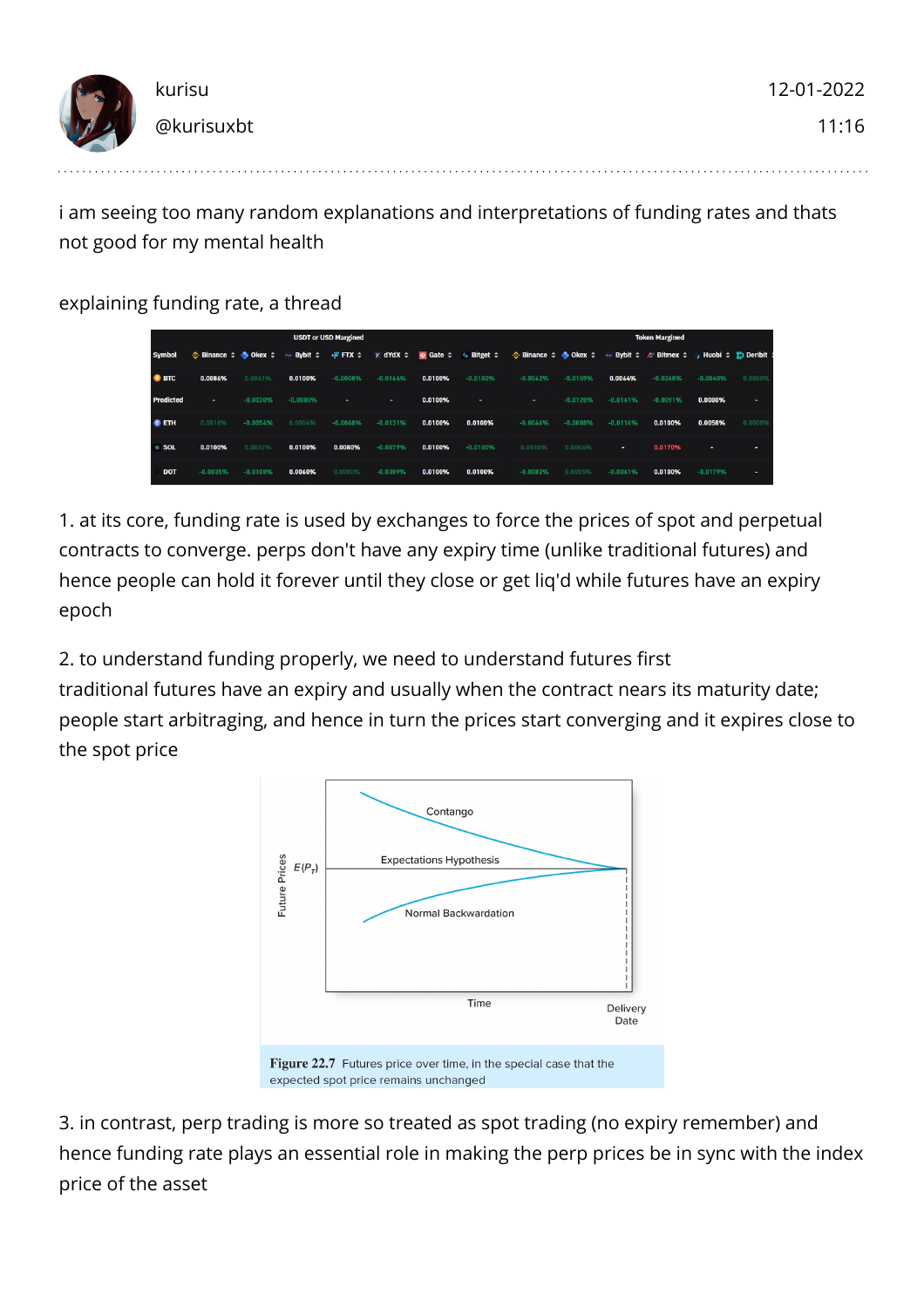| 17 | kurisu     | 12-01-2022 |
|----|------------|------------|
|    | @kurisuxbt | 11:16      |

i am seeing too many random explanations and interpretations of funding rates and thats not good for my mental health

explaining funding rate, a thread

| <b>USDT or USD Margined</b> |                                                                                      |            |                        |                |            |         | <b>Token Margined</b>                                               |                                          |            |            |                                                                                  |            |         |
|-----------------------------|--------------------------------------------------------------------------------------|------------|------------------------|----------------|------------|---------|---------------------------------------------------------------------|------------------------------------------|------------|------------|----------------------------------------------------------------------------------|------------|---------|
| <b>Symbol</b>               | $\Leftrightarrow$ Binance $\Leftrightarrow$ $\Leftrightarrow$ Okex $\Leftrightarrow$ |            | $\sim$ Bybit $\hat{z}$ | $=$ FTX $\div$ |            |         | x dYdX $\div$ $\otimes$ Gate $\div$ $\leftrightarrow$ Bitget $\div$ | $\div$ Binance $\div$ $\div$ Okex $\div$ |            |            | → Bybit $\div$ <i>///</i> Bitmex $\div$ <b>, Huobi</b> $\div$ <b>i</b> ) Deribit |            |         |
| <b>B</b> BTC                | 0.0086%                                                                              | 0.004196   | 0.0100%                | $-0.0008%$     | $-0.0164%$ | 0.0100% | $-0.0100%$                                                          | $-0.0062%$                               | $-0.0109%$ | 0.0064%    | $-0.0268%$                                                                       | $-0.0040%$ | 0.0000% |
| <b>Predicted</b>            |                                                                                      | $-0.0030%$ | $-0.0080%$             |                | ÷          | 0.0100% |                                                                     |                                          | $-0.0120%$ | $-0.0141%$ | $-0.0091%$                                                                       | 0.0080%    |         |
| <b>O</b> ETH                | 0.0018%                                                                              | $-0.0054%$ | 0.000496               | $-0.0048%$     | $-0.0131%$ | 0.0100% | 0.0100%                                                             | $-0.0066%$                               | $-0.0088%$ | $-0.0114%$ | 0.0100%                                                                          | 0.0058%    | 0.0000% |
| $\equiv$ SOL                | 0.0100%                                                                              | 0.0022%    | 0.0100%                | 0.0080%        | $-0.0079%$ | 0.0100% | $-0.0100%$                                                          | 0.0010%                                  | 0.0006%    |            | 0.0170%                                                                          |            |         |
| <b>DOT</b>                  | $-0.0035%$                                                                           | $-0.0108%$ | 0.0060%                | 8.0000%        | $-0.0389%$ | 0.0100% | 0.0100%                                                             | $-0.0082%$                               | 0.0005%    | $-0.0061%$ | 0.0100%                                                                          | $-0.0179%$ |         |

1. at its core, funding rate is used by exchanges to force the prices of spot and perpetual contracts to converge. perps don't have any expiry time (unlike traditional futures) and hence people can hold it forever until they close or get liq'd while futures have an expiry epoch

2. to understand funding properly, we need to understand futures first traditional futures have an expiry and usually when the contract nears its maturity date; people start arbitraging, and hence in turn the prices start converging and it expires close to the spot price



3. in contrast, perp trading is more so treated as spot trading (no expiry remember) and hence funding rate plays an essential role in making the perp prices be in sync with the index price of the asset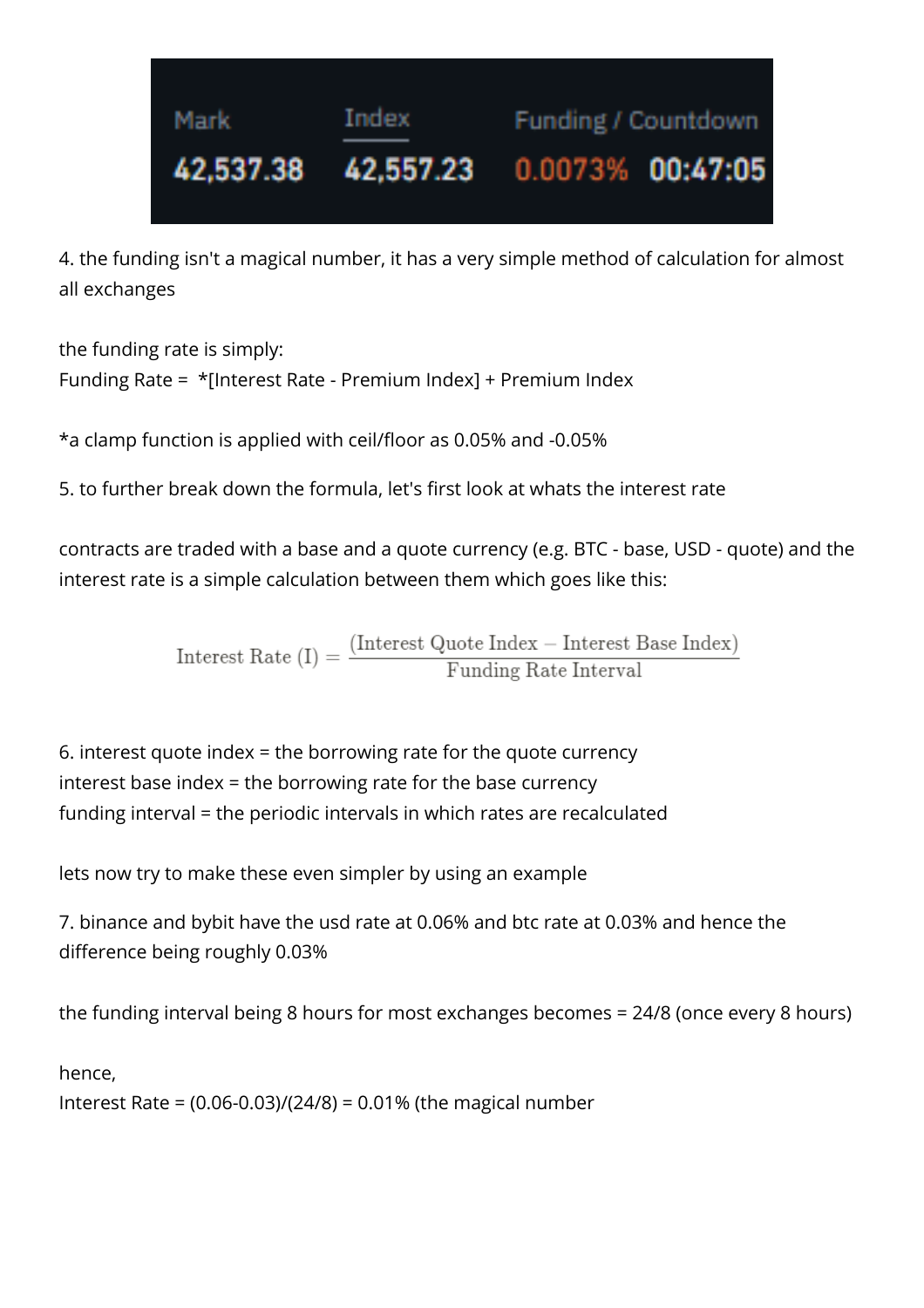

4. the funding isn't a magical number, it has a very simple method of calculation for almost all exchanges

the funding rate is simply: Funding Rate = \*[Interest Rate - Premium Index] + Premium Index

\*a clamp function is applied with ceil/floor as 0.05% and -0.05%

5. to further break down the formula, let's first look at whats the interest rate

contracts are traded with a base and a quote currency (e.g. BTC - base, USD - quote) and the interest rate is a simple calculation between them which goes like this:

 $\text{Interest Rate (I)} = \frac{\text{(Interest Quote Index} - \text{Interest Base Index})}{\text{Funding Rate Interval}}$ 

6. interest quote index = the borrowing rate for the quote currency interest base index = the borrowing rate for the base currency funding interval = the periodic intervals in which rates are recalculated

lets now try to make these even simpler by using an example

7. binance and bybit have the usd rate at 0.06% and btc rate at 0.03% and hence the difference being roughly 0.03%

the funding interval being 8 hours for most exchanges becomes = 24/8 (once every 8 hours)

hence,

Interest Rate = (0.06-0.03)/(24/8) = 0.01% (the magical number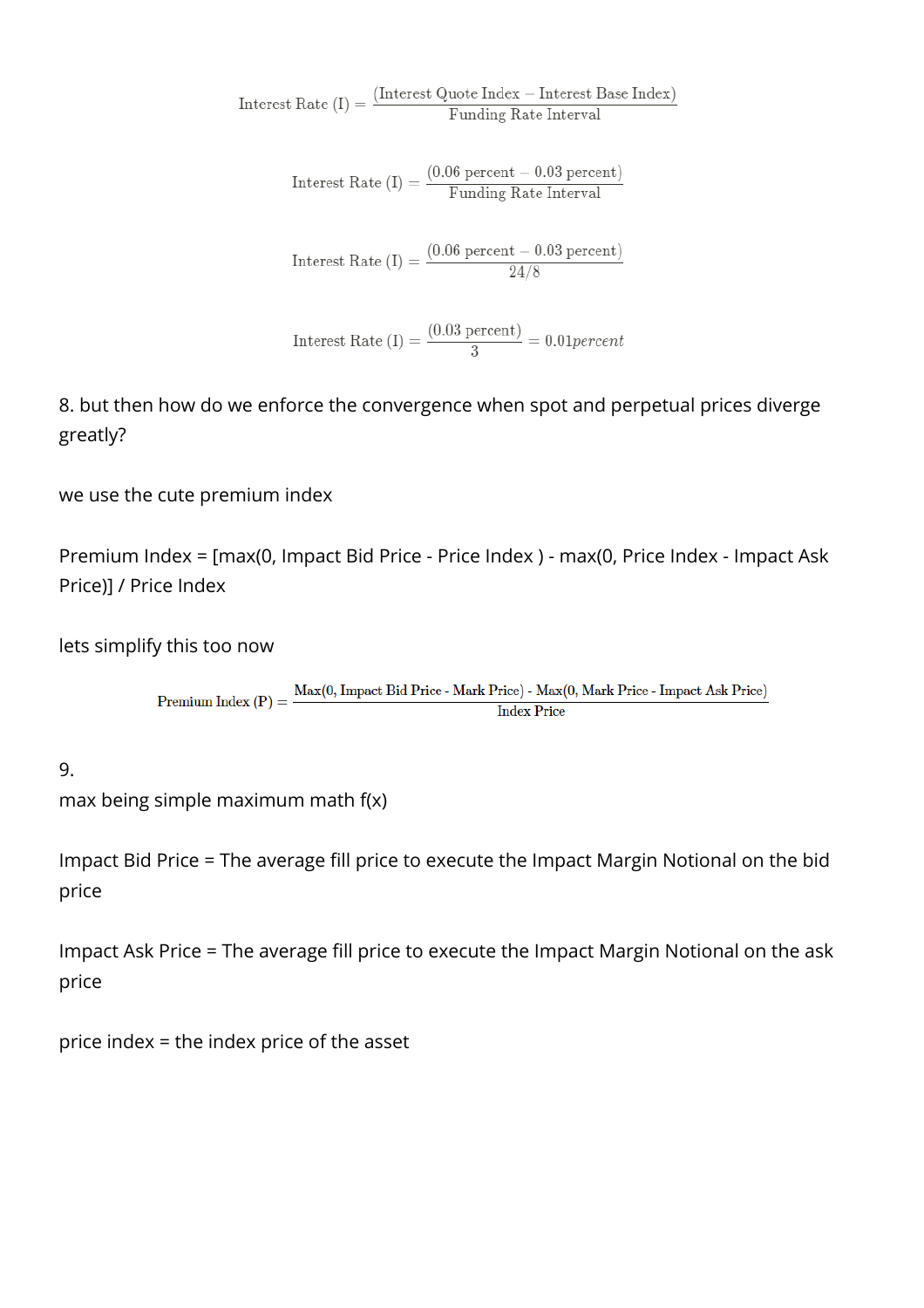$\text{Interest Rate (I)} = \frac{\text{(Interest Quote Index} - \text{Interest Base Index})}{\text{Funding Rate Interval}}$ 

$$
Interest Rate (I) = \frac{(0.06 percent - 0.03 percent)}{Funding Rate Interval}
$$

 $\text{Interest Rate (I)} = \frac{(0.06 \text{ percent} - 0.03 \text{ percent})}{24/8}$ 

Interest Rate (I) =  $\frac{(0.03 \text{ percent})}{3}$  = 0.01 percent

8. but then how do we enforce the convergence when spot and perpetual prices diverge greatly?

we use the cute premium index

Premium Index = [max(0, Impact Bid Price - Price Index ) - max(0, Price Index - Impact Ask Price)] / Price Index

lets simplify this too now

Premium Index (P) =  $\frac{\text{Max}(0, \text{ Impact Bid Price - Mark Price}) - \text{Max}(0, \text{Mark Price - Impact Ask Price})}{L + D}$ **Index Price** 

9.

max being simple maximum math f(x)

Impact Bid Price = The average fill price to execute the Impact Margin Notional on the bid price

Impact Ask Price = The average fill price to execute the Impact Margin Notional on the ask price

price index = the index price of the asset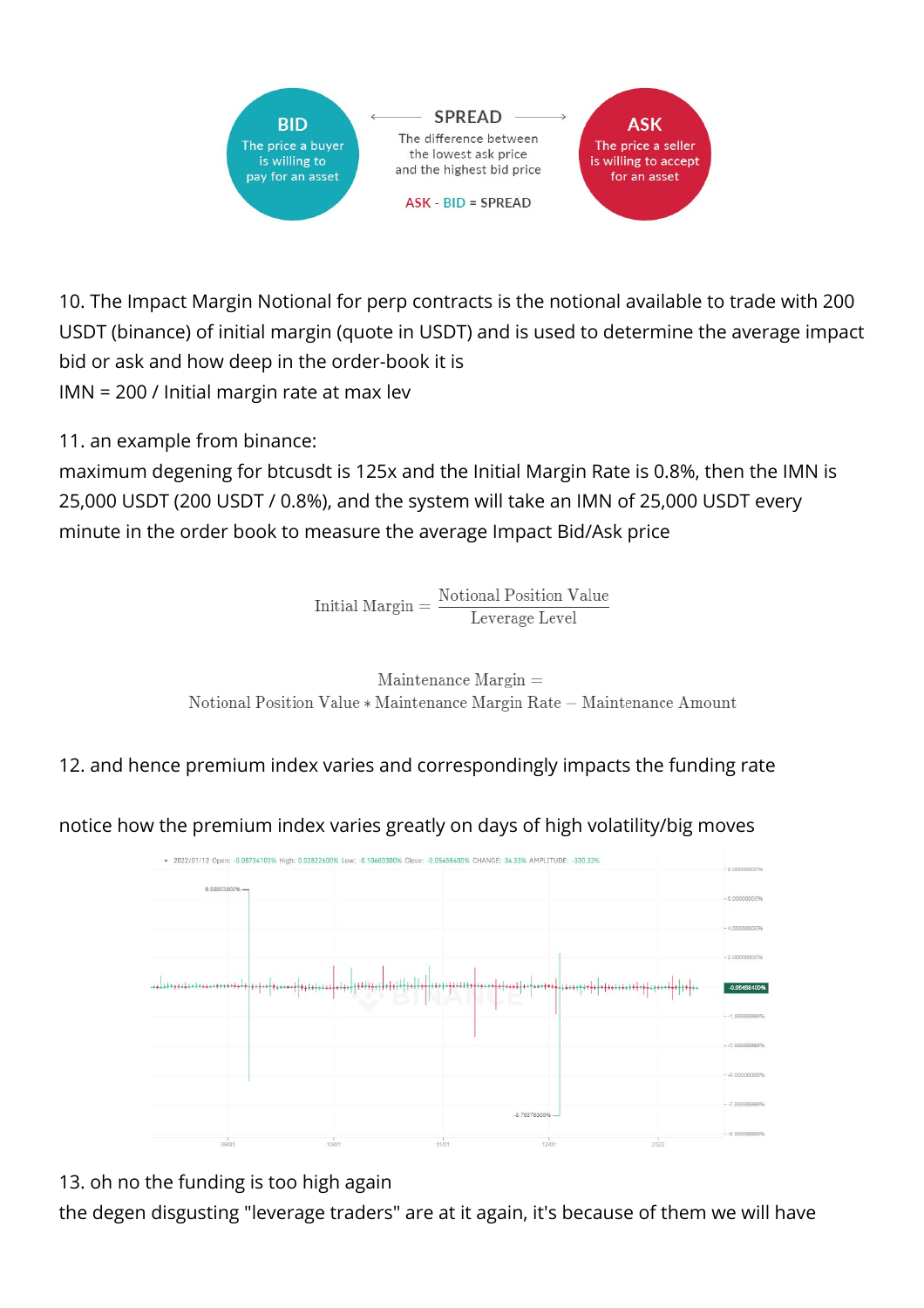

10. The Impact Margin Notional for perp contracts is the notional available to trade with 200 USDT (binance) of initial margin (quote in USDT) and is used to determine the average impact bid or ask and how deep in the order-book it is IMN = 200 / Initial margin rate at max lev

11. an example from binance:

maximum degening for btcusdt is 125x and the Initial Margin Rate is 0.8%, then the IMN is 25,000 USDT (200 USDT / 0.8%), and the system will take an IMN of 25,000 USDT every minute in the order book to measure the average Impact Bid/Ask price

> Notional Position Value<br>Leverage Level Initial Margin  $=$



12. and hence premium index varies and correspondingly impacts the funding rate

notice how the premium index varies greatly on days of high volatility/big moves



13. oh no the funding is too high again

the degen disgusting "leverage traders" are at it again, it's because of them we will have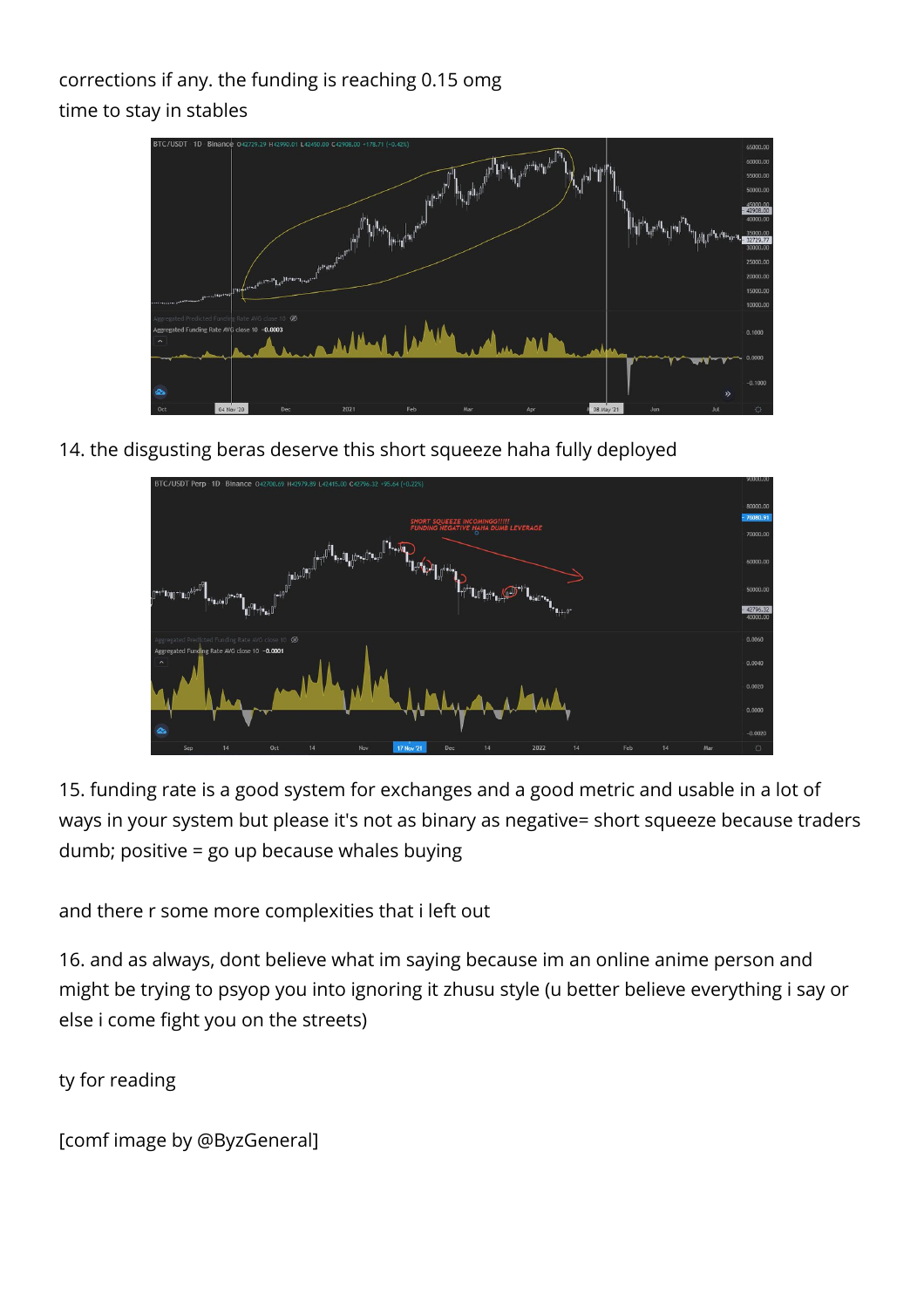## corrections if any. the funding is reaching 0.15 omg time to stay in stables



14. the disgusting beras deserve this short squeeze haha fully deployed



15. funding rate is a good system for exchanges and a good metric and usable in a lot of ways in your system but please it's not as binary as negative= short squeeze because traders dumb; positive = go up because whales buying

and there r some more complexities that i left out

16. and as always, dont believe what im saying because im an online anime person and might be trying to psyop you into ignoring it zhusu style (u better believe everything i say or else i come fight you on the streets)

ty for reading

[comf image by @ByzGeneral]